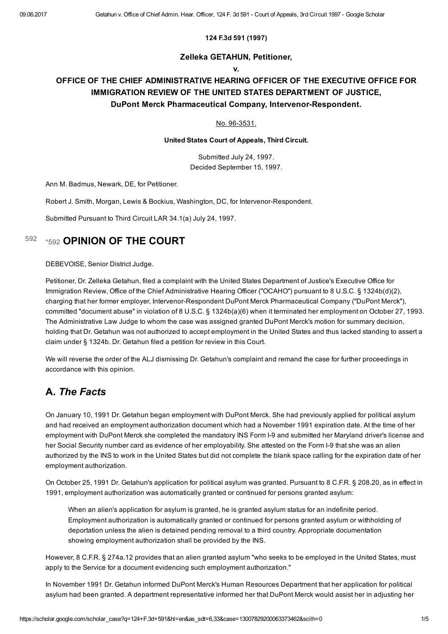## 124 F.3d 591 (1997)

## Zelleka GETAHUN, Petitioner,

#### v.

## OFFICE OF THE CHIEF ADMINISTRATIVE HEARING OFFICER OF THE EXECUTIVE OFFICE FOR IMMIGRATION REVIEW OF THE UNITED STATES DEPARTMENT OF JUSTICE, DuPont Merck Pharmaceutical Company, Intervenor-Respondent.

## No. 96-3531.

United States Court of Appeals, Third Circuit.

Submitted July 24, 1997. Decided September 15, 1997.

Ann M. Badmus, Newark, DE, for Petitioner.

Robert J. Smith, Morgan, Lewis & Bockius, Washington, DC, for Intervenor-Respondent.

Submitted Pursuant to Third Circuit LAR 34.1(a) July 24, 1997.

#### <span id="page-0-0"></span>[\\*592](#page-0-0) OPINION OF THE COURT [592](#page-0-0)

DEBEVOISE, Senior District Judge.

Petitioner, Dr. Zelleka Getahun, filed a complaint with the United States Department of Justice's Executive Office for Immigration Review, Office of the Chief Administrative Hearing Officer ("OCAHO") pursuant to 8 U.S.C. § 1324b(d)(2), charging that her former employer, Intervenor-Respondent DuPont Merck Pharmaceutical Company ("DuPont Merck"), committed "document abuse" in violation of 8 U.S.C. § 1324b(a)(6) when it terminated her employment on October 27, 1993. The Administrative Law Judge to whom the case was assigned granted DuPont Merck's motion for summary decision, holding that Dr. Getahun was not authorized to accept employment in the United States and thus lacked standing to assert a claim under § 1324b. Dr. Getahun filed a petition for review in this Court.

We will reverse the order of the ALJ dismissing Dr. Getahun's complaint and remand the case for further proceedings in accordance with this opinion.

## A. The Facts

On January 10, 1991 Dr. Getahun began employment with DuPont Merck. She had previously applied for political asylum and had received an employment authorization document which had a November 1991 expiration date. At the time of her employment with DuPont Merck she completed the mandatory INS Form I-9 and submitted her Maryland driver's license and her Social Security number card as evidence of her employability. She attested on the Form I-9 that she was an alien authorized by the INS to work in the United States but did not complete the blank space calling for the expiration date of her employment authorization.

On October 25, 1991 Dr. Getahun's application for political asylum was granted. Pursuant to 8 C.F.R. § 208.20, as in effect in 1991, employment authorization was automatically granted or continued for persons granted asylum:

When an alien's application for asylum is granted, he is granted asylum status for an indefinite period. Employment authorization is automatically granted or continued for persons granted asylum or withholding of deportation unless the alien is detained pending removal to a third country. Appropriate documentation showing employment authorization shall be provided by the INS.

However, 8 C.F.R. § 274a.12 provides that an alien granted asylum "who seeks to be employed in the United States, must apply to the Service for a document evidencing such employment authorization."

In November 1991 Dr. Getahun informed DuPont Merck's Human Resources Department that her application for political asylum had been granted. A department representative informed her that DuPont Merck would assist her in adjusting her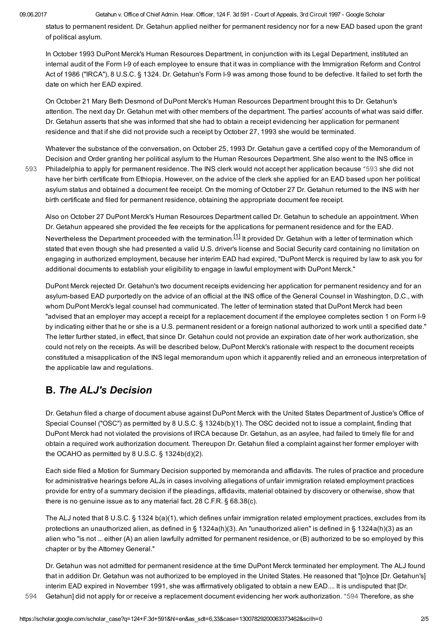[593](#page-1-0)

status to permanent resident. Dr. Getahun applied neither for permanent residency nor for a new EAD based upon the grant of political asylum.

In October 1993 DuPont Merck's Human Resources Department, in conjunction with its Legal Department, instituted an internal audit of the Form I9 of each employee to ensure that it was in compliance with the Immigration Reform and Control Act of 1986 ("IRCA"), 8 U.S.C. § 1324. Dr. Getahun's Form I-9 was among those found to be defective. It failed to set forth the date on which her EAD expired.

On October 21 Mary Beth Desmond of DuPont Merck's Human Resources Department brought this to Dr. Getahun's attention. The next day Dr. Getahun met with other members of the department. The parties' accounts of what was said differ. Dr. Getahun asserts that she was informed that she had to obtain a receipt evidencing her application for permanent residence and that if she did not provide such a receipt by October 27, 1993 she would be terminated.

<span id="page-1-0"></span>Whatever the substance of the conversation, on October 25, 1993 Dr. Getahun gave a certified copy of the Memorandum of Decision and Order granting her political asylum to the Human Resources Department. She also went to the INS office in Philadelphia to apply for permanent residence. The INS clerk would not accept her application because [\\*593](#page-1-0) she did not have her birth certificate from Ethiopia. However, on the advice of the clerk she applied for an EAD based upon her political asylum status and obtained a document fee receipt. On the morning of October 27 Dr. Getahun returned to the INS with her birth certificate and filed for permanent residence, obtaining the appropriate document fee receipt.

<span id="page-1-2"></span>Also on October 27 DuPont Merck's Human Resources Department called Dr. Getahun to schedule an appointment. When Dr. Getahun appeared she provided the fee receipts for the applications for permanent residence and for the EAD. Nevertheless the Department proceeded with the termination.<sup>[\[1\]](#page-3-0)</sup> It provided Dr. Getahun with a letter of termination which stated that even though she had presented a valid U.S. driver's license and Social Security card containing no limitation on engaging in authorized employment, because her interim EAD had expired, "DuPont Merck is required by law to ask you for additional documents to establish your eligibility to engage in lawful employment with DuPont Merck."

DuPont Merck rejected Dr. Getahun's two document receipts evidencing her application for permanent residency and for an asylumbased EAD purportedly on the advice of an official at the INS office of the General Counsel in Washington, D.C., with whom DuPont Merck's legal counsel had communicated. The letter of termination stated that DuPont Merck had been "advised that an employer may accept a receipt for a replacement document if the employee completes section 1 on Form I9 by indicating either that he or she is a U.S. permanent resident or a foreign national authorized to work until a specified date." The letter further stated, in effect, that since Dr. Getahun could not provide an expiration date of her work authorization, she could not rely on the receipts. As will be described below, DuPont Merck's rationale with respect to the document receipts constituted a misapplication of the INS legal memorandum upon which it apparently relied and an erroneous interpretation of the applicable law and regulations.

# B. The ALJ's Decision

Dr. Getahun filed a charge of document abuse against DuPont Merck with the United States Department of Justice's Office of Special Counsel ("OSC") as permitted by 8 U.S.C. § 1324b(b)(1). The OSC decided not to issue a complaint, finding that DuPont Merck had not violated the provisions of IRCA because Dr. Getahun, as an asylee, had failed to timely file for and obtain a required work authorization document. Thereupon Dr. Getahun filed a complaint against her former employer with the OCAHO as permitted by 8 U.S.C. § 1324b(d)(2).

Each side filed a Motion for Summary Decision supported by memoranda and affidavits. The rules of practice and procedure for administrative hearings before ALJs in cases involving allegations of unfair immigration related employment practices provide for entry of a summary decision if the pleadings, affidavits, material obtained by discovery or otherwise, show that there is no genuine issue as to any material fact. 28 C.F.R. § 68.38(c).

<span id="page-1-1"></span>The ALJ noted that 8 U.S.C. § 1324 b(a)(1), which defines unfair immigration related employment practices, excludes from its protections an unauthorized alien, as defined in § 1324a(h)(3). An "unauthorized alien" is defined in § 1324a(h)(3) as an alien who "is not ... either (A) an alien lawfully admitted for permanent residence, or (B) authorized to be so employed by this chapter or by the Attorney General."

Dr. Getahun was not admitted for permanent residence at the time DuPont Merck terminated her employment. The ALJ found that in addition Dr. Getahun was not authorized to be employed in the United States. He reasoned that "[o]nce [Dr. Getahun's] interim EAD expired in November 1991, she was affirmatively obligated to obtain a new EAD.... It is undisputed that [Dr. [594](#page-1-1) Getahun] did not apply for or receive a replacement document evidencing her work authorization. [\\*594](#page-1-1) Therefore, as she

https://scholar.google.com/scholar\_case?q=124+F.3d+591&hl=en&as\_sdt=6,33&case=13007829200063373462&scilh=0 2/5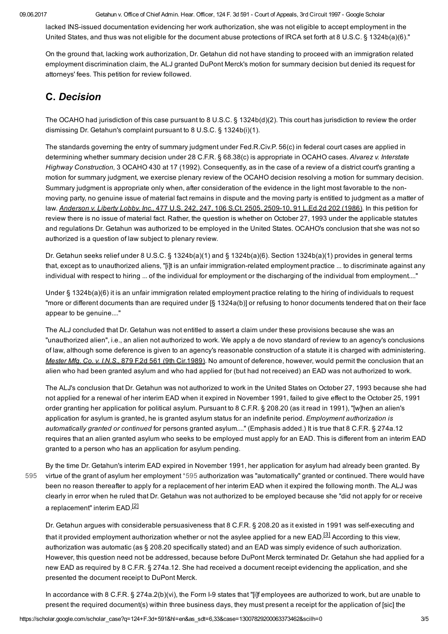09.06.2017 Getahun v. Office of Chief Admin. Hear. Officer, 124 F. 3d 591 Court of Appeals, 3rd Circuit 1997 Google Scholar

lacked INS-issued documentation evidencing her work authorization, she was not eligible to accept employment in the United States, and thus was not eligible for the document abuse protections of IRCA set forth at 8 U.S.C. § 1324b(a)(6)."

On the ground that, lacking work authorization, Dr. Getahun did not have standing to proceed with an immigration related employment discrimination claim, the ALJ granted DuPont Merck's motion for summary decision but denied its request for attorneys' fees. This petition for review followed.

# C. Decision

The OCAHO had jurisdiction of this case pursuant to 8 U.S.C. § 1324b(d)(2). This court has jurisdiction to review the order dismissing Dr. Getahun's complaint pursuant to 8 U.S.C. § 1324b(i)(1).

The standards governing the entry of summary judgment under Fed.R.Civ.P. 56(c) in federal court cases are applied in determining whether summary decision under 28 C.F.R. § 68.38(c) is appropriate in OCAHO cases. Alvarez v. Interstate Highway Construction, 3 OCAHO 430 at 17 (1992). Consequently, as in the case of a review of a district court's granting a motion for summary judgment, we exercise plenary review of the OCAHO decision resolving a motion for summary decision. Summary judgment is appropriate only when, after consideration of the evidence in the light most favorable to the nonmoving party, no genuine issue of material fact remains in dispute and the moving party is entitled to judgment as a matter of law. Anderson v. Liberty Lobby, Inc., 477 U.S. 242, 247, 106 S.Ct. 2505, 2509-10, 91 L.Ed.2d 202 (1986). In this petition for review there is no issue of material fact. Rather, the question is whether on October 27, 1993 under the applicable statutes and regulations Dr. Getahun was authorized to be employed in the United States. OCAHO's conclusion that she was not so authorized is a question of law subject to plenary review.

Dr. Getahun seeks relief under 8 U.S.C. § 1324b(a)(1) and § 1324b(a)(6). Section 1324b(a)(1) provides in general terms that, except as to unauthorized aliens, "[i]t is an unfair immigration-related employment practice ... to discriminate against any individual with respect to hiring ... of the individual for employment or the discharging of the individual from employment...."

Under § 1324b(a)(6) it is an unfair immigration related employment practice relating to the hiring of individuals to request "more or different documents than are required under [§ 1324a(b)] or refusing to honor documents tendered that on their face appear to be genuine...."

The ALJ concluded that Dr. Getahun was not entitled to assert a claim under these provisions because she was an "unauthorized alien", i.e., an alien not authorized to work. We apply a de novo standard of review to an agency's conclusions of law, although some deference is given to an agency's reasonable construction of a statute it is charged with administering. Mester Mfg. Co. v. I.N.S., 879 F.2d 561 (9th Cir.1989). No amount of deference, however, would permit the conclusion that an alien who had been granted asylum and who had applied for (but had not received) an EAD was not authorized to work.

The ALJ's conclusion that Dr. Getahun was not authorized to work in the United States on October 27, 1993 because she had not applied for a renewal of her interim EAD when it expired in November 1991, failed to give effect to the October 25, 1991 order granting her application for political asylum. Pursuant to 8 C.F.R. § 208.20 (as it read in 1991), "[w]hen an alien's application for asylum is granted, he is granted asylum status for an indefinite period. Employment authorization is automatically granted or continued for persons granted asylum...." (Emphasis added.) It is true that 8 C.F.R. § 274a.12 requires that an alien granted asylum who seeks to be employed must apply for an EAD. This is different from an interim EAD granted to a person who has an application for asylum pending.

By the time Dr. Getahun's interim EAD expired in November 1991, her application for asylum had already been granted. By virtue of the grant of asylum her employment [\\*595](#page-2-0) authorization was "automatically" granted or continued. There would have been no reason thereafter to apply for a replacement of her interim EAD when it expired the following month. The ALJ was clearly in error when he ruled that Dr. Getahun was not authorized to be employed because she "did not apply for or receive a replacement" interim EAD.<sup>[\[2\]](#page-3-1)</sup> [595](#page-2-0)

<span id="page-2-1"></span><span id="page-2-0"></span>Dr. Getahun argues with considerable persuasiveness that 8 C.F.R. § 208.20 as it existed in 1991 was self-executing and that it provided employment authorization whether or not the asylee applied for a new EAD.<sup>[3]</sup> According to this view, authorization was automatic (as § 208.20 specifically stated) and an EAD was simply evidence of such authorization. However, this question need not be addressed, because before DuPont Merck terminated Dr. Getahun she had applied for a new EAD as required by 8 C.F.R. § 274a.12. She had received a document receipt evidencing the application, and she presented the document receipt to DuPont Merck.

In accordance with 8 C.F.R. § 274a.2(b)(vi), the Form I-9 states that "[i]f employees are authorized to work, but are unable to present the required document(s) within three business days, they must present a receipt for the application of [sic] the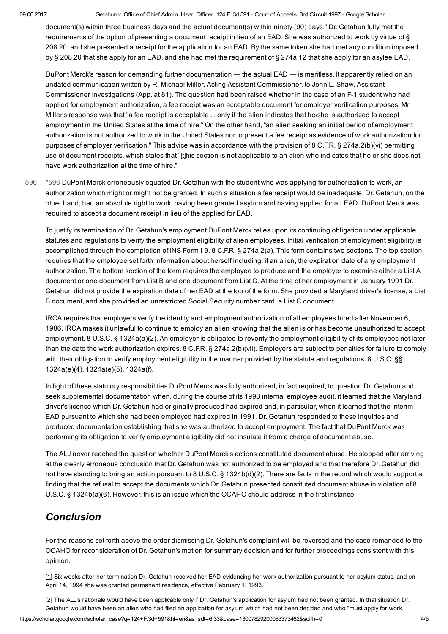#### 09.06.2017 Getahun v. Office of Chief Admin. Hear. Officer, 124 F. 3d 591 Court of Appeals, 3rd Circuit 1997 Google Scholar

document(s) within three business days and the actual document(s) within ninety (90) days." Dr. Getahun fully met the requirements of the option of presenting a document receipt in lieu of an EAD. She was authorized to work by virtue of § 208.20, and she presented a receipt for the application for an EAD. By the same token she had met any condition imposed by § 208.20 that she apply for an EAD, and she had met the requirement of § 274a.12 that she apply for an asylee EAD.

DuPont Merck's reason for demanding further documentation — the actual EAD — is meritless. It apparently relied on an undated communication written by R. Michael Miller, Acting Assistant Commissioner, to John L. Shaw, Assistant Commissioner Investigations (App. at 81). The question had been raised whether in the case of an F1 student who had applied for employment authorization, a fee receipt was an acceptable document for employer verification purposes. Mr. Miller's response was that "a fee receipt is acceptable ... only if the alien indicates that he/she is authorized to accept employment in the United States at the time of hire." On the other hand, "an alien seeking an initial period of employment authorization is not authorized to work in the United States nor to present a fee receipt as evidence of work authorization for purposes of employer verification." This advice was in accordance with the provision of 8 C.F.R. § 274a.2(b)(vi) permitting use of document receipts, which states that "[t]his section is not applicable to an alien who indicates that he or she does not have work authorization at the time of hire."

<span id="page-3-2"></span>[\\*596](#page-3-2) DuPont Merck erroneously equated Dr. Getahun with the student who was applying for authorization to work, an authorization which might or might not be granted. In such a situation a fee receipt would be inadequate. Dr. Getahun, on the other hand, had an absolute right to work, having been granted asylum and having applied for an EAD. DuPont Merck was required to accept a document receipt in lieu of the applied for EAD. [596](#page-3-2)

To justify its termination of Dr. Getahun's employment DuPont Merck relies upon its continuing obligation under applicable statutes and regulations to verify the employment eligibility of alien employees. Initial verification of employment eligibility is accomplished through the completion of INS Form I-9. 8 C.F.R. § 274a.2(a). This form contains two sections. The top section requires that the employee set forth information about herself including, if an alien, the expiration date of any employment authorization. The bottom section of the form requires the employee to produce and the employer to examine either a List A document or one document from List B and one document from List C. At the time of her employment in January 1991 Dr. Getahun did not provide the expiration date of her EAD at the top of the form. She provided a Maryland driver's license, a List B document, and she provided an unrestricted Social Security number card, a List C document.

IRCA requires that employers verify the identity and employment authorization of all employees hired after November 6, 1986. IRCA makes it unlawful to continue to employ an alien knowing that the alien is or has become unauthorized to accept employment. 8 U.S.C. § 1324a(a)(2). An employer is obligated to reverify the employment eligibility of its employees not later than the date the work authorization expires. 8 C.F.R. § 274a.2(b)(vii). Employers are subject to penalties for failure to comply with their obligation to verify employment eligibility in the manner provided by the statute and regulations. 8 U.S.C. §§ 1324a(e)(4), 1324a(e)(5), 1324a(f).

In light of these statutory responsibilities DuPont Merck was fully authorized, in fact required, to question Dr. Getahun and seek supplemental documentation when, during the course of its 1993 internal employee audit, it learned that the Maryland driver's license which Dr. Getahun had originally produced had expired and, in particular, when it learned that the interim EAD pursuant to which she had been employed had expired in 1991. Dr. Getahun responded to these inquiries and produced documentation establishing that she was authorized to accept employment. The fact that DuPont Merck was performing its obligation to verify employment eligibility did not insulate it from a charge of document abuse.

The ALJ never reached the question whether DuPont Merck's actions constituted document abuse. He stopped after arriving at the clearly erroneous conclusion that Dr. Getahun was not authorized to be employed and that therefore Dr. Getahun did not have standing to bring an action pursuant to 8 U.S.C. § 1324b(d)(2). There are facts in the record which would support a finding that the refusal to accept the documents which Dr. Getahun presented constituted document abuse in violation of 8 U.S.C. § 1324b(a)(6). However, this is an issue which the OCAHO should address in the first instance.

## Conclusion

For the reasons set forth above the order dismissing Dr. Getahun's complaint will be reversed and the case remanded to the OCAHO for reconsideration of Dr. Getahun's motion for summary decision and for further proceedings consistent with this opinion.

<span id="page-3-0"></span>[\[1\]](#page-1-2) Six weeks after her termination Dr. Getahun received her EAD evidencing her work authorization pursuant to her asylum status, and on April 14, 1994 she was granted permanent residence, effective February 1, 1993.

<span id="page-3-1"></span>[\[2\]](#page-2-1) The ALJ's rationale would have been applicable only if Dr. Getahun's application for asylum had not been granted. In that situation Dr. Getahun would have been an alien who had filed an application for asylum which had not been decided and who "must apply for work